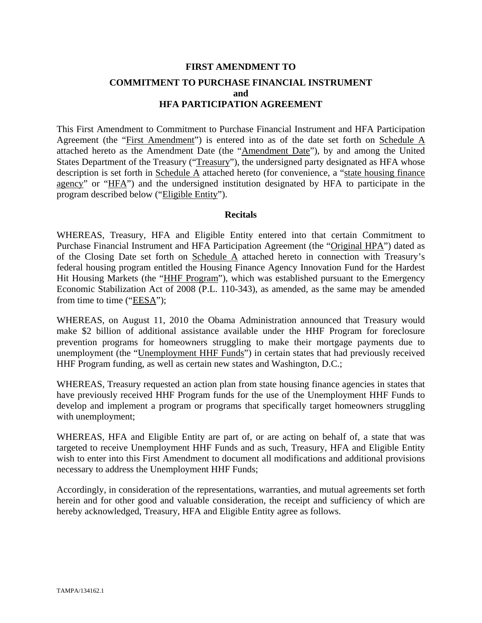# **FIRST AMENDMENT TO COMMITMENT TO PURCHASE FINANCIAL INSTRUMENT and HFA PARTICIPATION AGREEMENT**

This First Amendment to Commitment to Purchase Financial Instrument and HFA Participation Agreement (the "First Amendment") is entered into as of the date set forth on Schedule A attached hereto as the Amendment Date (the "Amendment Date"), by and among the United States Department of the Treasury ("Treasury"), the undersigned party designated as HFA whose description is set forth in Schedule A attached hereto (for convenience, a "state housing finance agency" or "HFA") and the undersigned institution designated by HFA to participate in the program described below ("Eligible Entity").

#### **Recitals**

WHEREAS, Treasury, HFA and Eligible Entity entered into that certain Commitment to Purchase Financial Instrument and HFA Participation Agreement (the "Original HPA") dated as of the Closing Date set forth on Schedule A attached hereto in connection with Treasury's federal housing program entitled the Housing Finance Agency Innovation Fund for the Hardest Hit Housing Markets (the "HHF Program"), which was established pursuant to the Emergency Economic Stabilization Act of 2008 (P.L. 110-343), as amended, as the same may be amended from time to time ("EESA");

WHEREAS, on August 11, 2010 the Obama Administration announced that Treasury would make \$2 billion of additional assistance available under the HHF Program for foreclosure prevention programs for homeowners struggling to make their mortgage payments due to unemployment (the "Unemployment HHF Funds") in certain states that had previously received HHF Program funding, as well as certain new states and Washington, D.C.;

WHEREAS, Treasury requested an action plan from state housing finance agencies in states that have previously received HHF Program funds for the use of the Unemployment HHF Funds to develop and implement a program or programs that specifically target homeowners struggling with unemployment;

WHEREAS, HFA and Eligible Entity are part of, or are acting on behalf of, a state that was targeted to receive Unemployment HHF Funds and as such, Treasury, HFA and Eligible Entity wish to enter into this First Amendment to document all modifications and additional provisions necessary to address the Unemployment HHF Funds;

Accordingly, in consideration of the representations, warranties, and mutual agreements set forth herein and for other good and valuable consideration, the receipt and sufficiency of which are hereby acknowledged, Treasury, HFA and Eligible Entity agree as follows.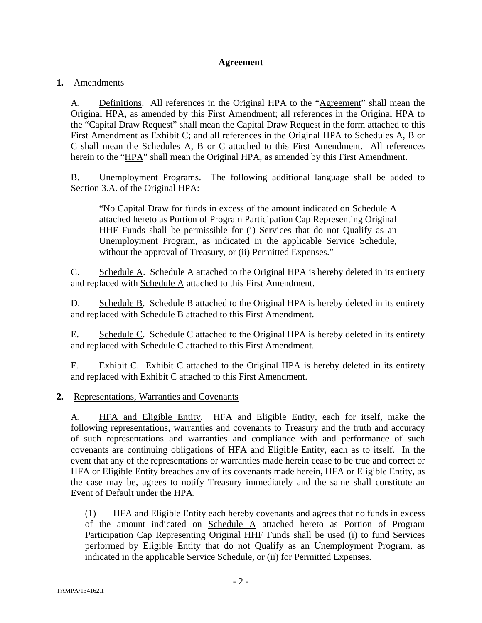#### **Agreement**

#### **1.** Amendments

A. Definitions. All references in the Original HPA to the "Agreement" shall mean the Original HPA, as amended by this First Amendment; all references in the Original HPA to the "Capital Draw Request" shall mean the Capital Draw Request in the form attached to this First Amendment as Exhibit C; and all references in the Original HPA to Schedules A, B or C shall mean the Schedules A, B or C attached to this First Amendment. All references herein to the "HPA" shall mean the Original HPA, as amended by this First Amendment.

B. Unemployment Programs. The following additional language shall be added to Section 3.A. of the Original HPA:

"No Capital Draw for funds in excess of the amount indicated on Schedule A attached hereto as Portion of Program Participation Cap Representing Original HHF Funds shall be permissible for (i) Services that do not Qualify as an Unemployment Program, as indicated in the applicable Service Schedule, without the approval of Treasury, or (ii) Permitted Expenses."

C. Schedule A. Schedule A attached to the Original HPA is hereby deleted in its entirety and replaced with Schedule A attached to this First Amendment.

D. Schedule B. Schedule B attached to the Original HPA is hereby deleted in its entirety and replaced with Schedule B attached to this First Amendment.

E. Schedule C. Schedule C attached to the Original HPA is hereby deleted in its entirety and replaced with Schedule C attached to this First Amendment.

F. Exhibit C. Exhibit C attached to the Original HPA is hereby deleted in its entirety and replaced with Exhibit C attached to this First Amendment.

#### **2.** Representations, Warranties and Covenants

A. HFA and Eligible Entity. HFA and Eligible Entity, each for itself, make the following representations, warranties and covenants to Treasury and the truth and accuracy of such representations and warranties and compliance with and performance of such covenants are continuing obligations of HFA and Eligible Entity, each as to itself. In the event that any of the representations or warranties made herein cease to be true and correct or HFA or Eligible Entity breaches any of its covenants made herein, HFA or Eligible Entity, as the case may be, agrees to notify Treasury immediately and the same shall constitute an Event of Default under the HPA.

(1) HFA and Eligible Entity each hereby covenants and agrees that no funds in excess of the amount indicated on Schedule A attached hereto as Portion of Program Participation Cap Representing Original HHF Funds shall be used (i) to fund Services performed by Eligible Entity that do not Qualify as an Unemployment Program, as indicated in the applicable Service Schedule, or (ii) for Permitted Expenses.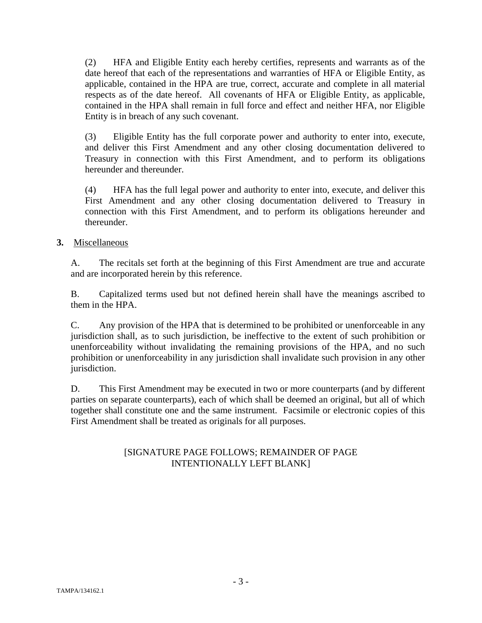(2) HFA and Eligible Entity each hereby certifies, represents and warrants as of the date hereof that each of the representations and warranties of HFA or Eligible Entity, as applicable, contained in the HPA are true, correct, accurate and complete in all material respects as of the date hereof. All covenants of HFA or Eligible Entity, as applicable, contained in the HPA shall remain in full force and effect and neither HFA, nor Eligible Entity is in breach of any such covenant.

(3) Eligible Entity has the full corporate power and authority to enter into, execute, and deliver this First Amendment and any other closing documentation delivered to Treasury in connection with this First Amendment, and to perform its obligations hereunder and thereunder.

(4) HFA has the full legal power and authority to enter into, execute, and deliver this First Amendment and any other closing documentation delivered to Treasury in connection with this First Amendment, and to perform its obligations hereunder and thereunder.

#### **3.** Miscellaneous

A. The recitals set forth at the beginning of this First Amendment are true and accurate and are incorporated herein by this reference.

B. Capitalized terms used but not defined herein shall have the meanings ascribed to them in the HPA.

C. Any provision of the HPA that is determined to be prohibited or unenforceable in any jurisdiction shall, as to such jurisdiction, be ineffective to the extent of such prohibition or unenforceability without invalidating the remaining provisions of the HPA, and no such prohibition or unenforceability in any jurisdiction shall invalidate such provision in any other jurisdiction.

D. This First Amendment may be executed in two or more counterparts (and by different parties on separate counterparts), each of which shall be deemed an original, but all of which together shall constitute one and the same instrument. Facsimile or electronic copies of this First Amendment shall be treated as originals for all purposes.

# [SIGNATURE PAGE FOLLOWS; REMAINDER OF PAGE INTENTIONALLY LEFT BLANK]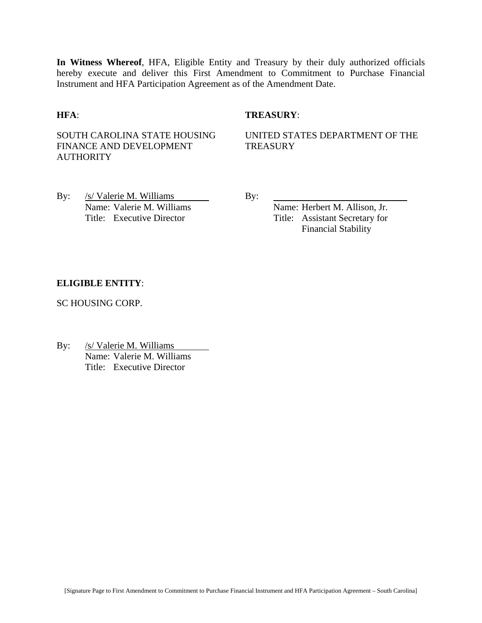**In Witness Whereof**, HFA, Eligible Entity and Treasury by their duly authorized officials hereby execute and deliver this First Amendment to Commitment to Purchase Financial Instrument and HFA Participation Agreement as of the Amendment Date.

#### **HFA**: **TREASURY**:

SOUTH CAROLINA STATE HOUSING FINANCE AND DEVELOPMENT **AUTHORITY** 

UNITED STATES DEPARTMENT OF THE **TREASURY** 

By: /s/ Valerie M. Williams By: Name: Valerie M. Williams Name: Herbert M. Allison, Jr.

Title: Executive Director Title: Assistant Secretary for Financial Stability

#### **ELIGIBLE ENTITY**:

SC HOUSING CORP.

By: /s/ Valerie M. Williams Name: Valerie M. Williams Title: Executive Director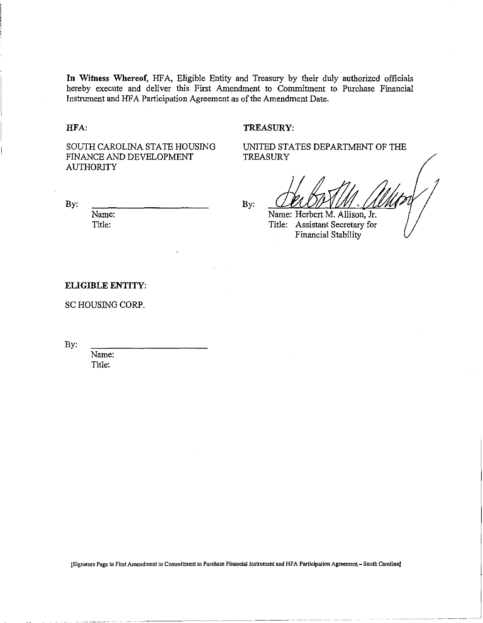**In** Witness Whereof, HFA, Eligible Entity and Treasury by their duly authorized officials hereby execute and deliver this First Amendment to Commitment to Purchase Financial Instrument and HFA Participation Agreement as of the Amendment Date.

HFA:

TREASURY:

TREASURY

SOUTH CAROLINA STATE HOUSING FINANCE AND DEVELOPMENT AUTHORITY

By:

Name: Title:

By:

Name: Herbert M. Allison, Jr.

Title: Assistant Secretary for Financial Stability

UNITED STATES DEPARTMENT OF THE

#### ELIGIBLE ENTITY:

SC HOUSING CORP.

By:

Name: Title:

[Signature Page to First Amendment to Commitment to Purchase Financial Instrument and HFA Participation Agreement - South Carolina]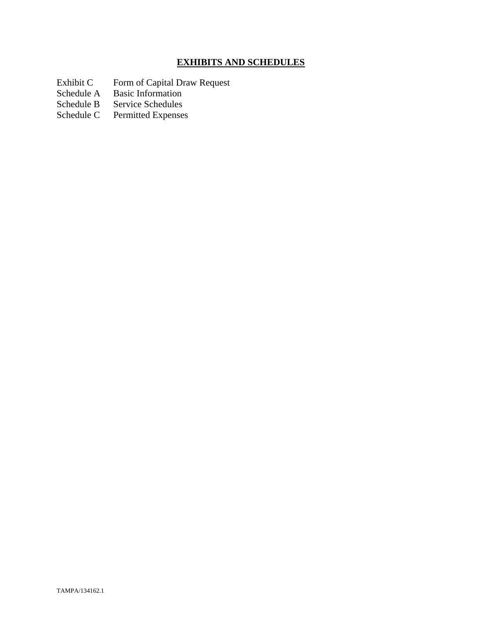# **EXHIBITS AND SCHEDULES**

- Exhibit C Form of Capital Draw Request
- Schedule A Basic Information
- Schedule B Service Schedules<br>Schedule C Permitted Expenses
- Permitted Expenses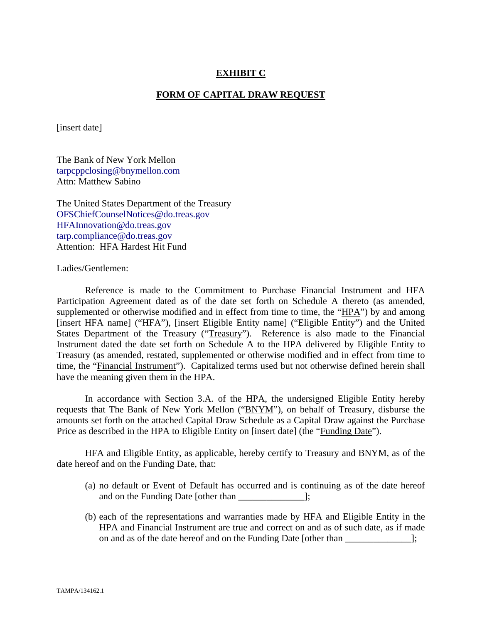#### **EXHIBIT C**

#### **FORM OF CAPITAL DRAW REQUEST**

[insert date]

The Bank of New York Mellon tarpcppclosing@bnymellon.com Attn: Matthew Sabino

The United States Department of the Treasury OFSChiefCounselNotices@do.treas.gov HFAInnovation@do.treas.gov tarp.compliance@do.treas.gov Attention: HFA Hardest Hit Fund

Ladies/Gentlemen:

 Reference is made to the Commitment to Purchase Financial Instrument and HFA Participation Agreement dated as of the date set forth on Schedule A thereto (as amended, supplemented or otherwise modified and in effect from time to time, the "HPA") by and among [insert HFA name] ("HFA"), [insert Eligible Entity name] ("Eligible Entity") and the United States Department of the Treasury ("Treasury"). Reference is also made to the Financial Instrument dated the date set forth on Schedule A to the HPA delivered by Eligible Entity to Treasury (as amended, restated, supplemented or otherwise modified and in effect from time to time, the "Financial Instrument"). Capitalized terms used but not otherwise defined herein shall have the meaning given them in the HPA.

 In accordance with Section 3.A. of the HPA, the undersigned Eligible Entity hereby requests that The Bank of New York Mellon ("BNYM"), on behalf of Treasury, disburse the amounts set forth on the attached Capital Draw Schedule as a Capital Draw against the Purchase Price as described in the HPA to Eligible Entity on [insert date] (the "Funding Date").

 HFA and Eligible Entity, as applicable, hereby certify to Treasury and BNYM, as of the date hereof and on the Funding Date, that:

- (a) no default or Event of Default has occurred and is continuing as of the date hereof and on the Funding Date [other than \_\_\_\_\_\_\_\_\_\_\_\_\_\_];
- (b) each of the representations and warranties made by HFA and Eligible Entity in the HPA and Financial Instrument are true and correct on and as of such date, as if made on and as of the date hereof and on the Funding Date [other than ];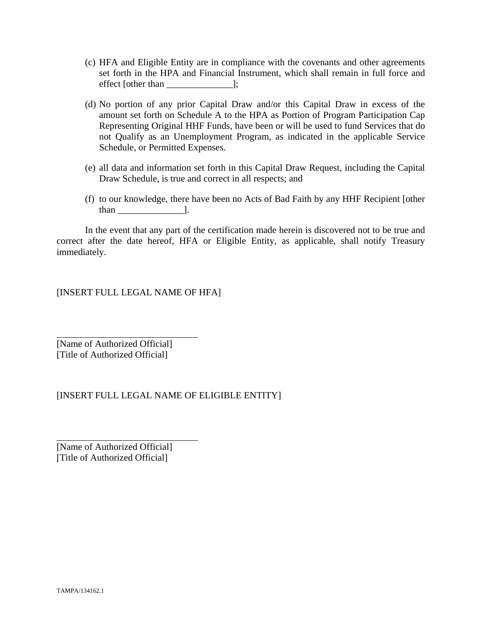- (c) HFA and Eligible Entity are in compliance with the covenants and other agreements set forth in the HPA and Financial Instrument, which shall remain in full force and effect [other than \_\_\_\_\_\_\_\_\_\_\_\_\_\_];
- (d) No portion of any prior Capital Draw and/or this Capital Draw in excess of the amount set forth on Schedule A to the HPA as Portion of Program Participation Cap Representing Original HHF Funds, have been or will be used to fund Services that do not Qualify as an Unemployment Program, as indicated in the applicable Service Schedule, or Permitted Expenses.
- (e) all data and information set forth in this Capital Draw Request, including the Capital Draw Schedule, is true and correct in all respects; and
- (f) to our knowledge, there have been no Acts of Bad Faith by any HHF Recipient [other than \_\_\_\_\_\_\_\_\_\_\_\_\_\_].

 In the event that any part of the certification made herein is discovered not to be true and correct after the date hereof, HFA or Eligible Entity, as applicable, shall notify Treasury immediately.

[INSERT FULL LEGAL NAME OF HFA]

[Name of Authorized Official] [Title of Authorized Official]

 $\overline{a}$ 

 $\overline{a}$ 

#### [INSERT FULL LEGAL NAME OF ELIGIBLE ENTITY]

[Name of Authorized Official] [Title of Authorized Official]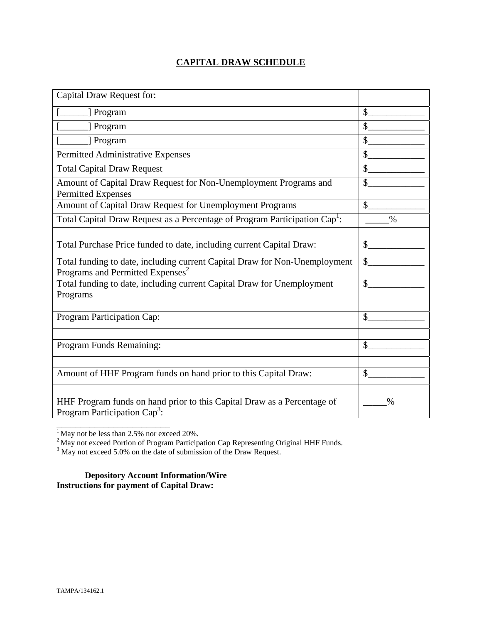# **CAPITAL DRAW SCHEDULE**

| Capital Draw Request for:                                                                                                  |               |
|----------------------------------------------------------------------------------------------------------------------------|---------------|
| [] Program                                                                                                                 | \$            |
| ] Program                                                                                                                  | $\mathcal{S}$ |
| [ Program                                                                                                                  | \$            |
| Permitted Administrative Expenses                                                                                          | \$            |
| <b>Total Capital Draw Request</b>                                                                                          | \$            |
| Amount of Capital Draw Request for Non-Unemployment Programs and<br><b>Permitted Expenses</b>                              | \$            |
| Amount of Capital Draw Request for Unemployment Programs                                                                   | $\mathcal{S}$ |
| Total Capital Draw Request as a Percentage of Program Participation Cap <sup>1</sup> :                                     | $\%$          |
|                                                                                                                            |               |
| Total Purchase Price funded to date, including current Capital Draw:                                                       | $\mathbb{S}$  |
| Total funding to date, including current Capital Draw for Non-Unemployment<br>Programs and Permitted Expenses <sup>2</sup> | \$            |
| Total funding to date, including current Capital Draw for Unemployment<br>Programs                                         | $\mathcal{S}$ |
|                                                                                                                            |               |
| Program Participation Cap:                                                                                                 | \$            |
|                                                                                                                            |               |
| Program Funds Remaining:                                                                                                   | \$            |
|                                                                                                                            |               |
| Amount of HHF Program funds on hand prior to this Capital Draw:                                                            | $\mathcal{S}$ |
|                                                                                                                            |               |
| HHF Program funds on hand prior to this Capital Draw as a Percentage of<br>Program Participation Cap <sup>3</sup> :        | $\%$          |

 $<sup>1</sup>$  May not be less than 2.5% nor exceed 20%.</sup>

\_\_\_\_\_\_\_\_\_\_\_\_\_\_\_\_\_\_\_\_\_\_\_\_

<sup>2</sup> May not exceed Portion of Program Participation Cap Representing Original HHF Funds.<br><sup>3</sup> May not exceed 5.0% on the date of submission of the Draw Request.

**Depository Account Information/Wire Instructions for payment of Capital Draw:**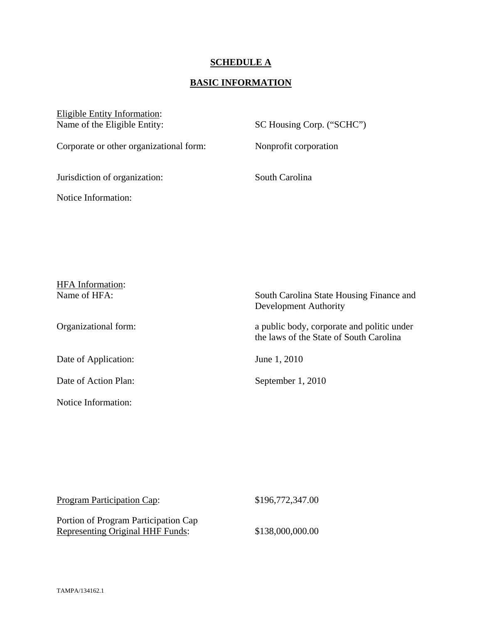#### **SCHEDULE A**

## **BASIC INFORMATION**

Eligible Entity Information:<br>Name of the Eligible Entity:

SC Housing Corp. ("SCHC")

Corporate or other organizational form: Nonprofit corporation

Jurisdiction of organization: South Carolina

Notice Information:

| <b>HFA</b> Information: |                                                                                       |
|-------------------------|---------------------------------------------------------------------------------------|
| Name of HFA:            | South Carolina State Housing Finance and<br>Development Authority                     |
| Organizational form:    | a public body, corporate and politic under<br>the laws of the State of South Carolina |
| Date of Application:    | June 1, 2010                                                                          |
| Date of Action Plan:    | September 1, 2010                                                                     |
| Notice Information:     |                                                                                       |

| <b>Program Participation Cap:</b>       | \$196,772,347.00 |
|-----------------------------------------|------------------|
| Portion of Program Participation Cap    |                  |
| <b>Representing Original HHF Funds:</b> | \$138,000,000.00 |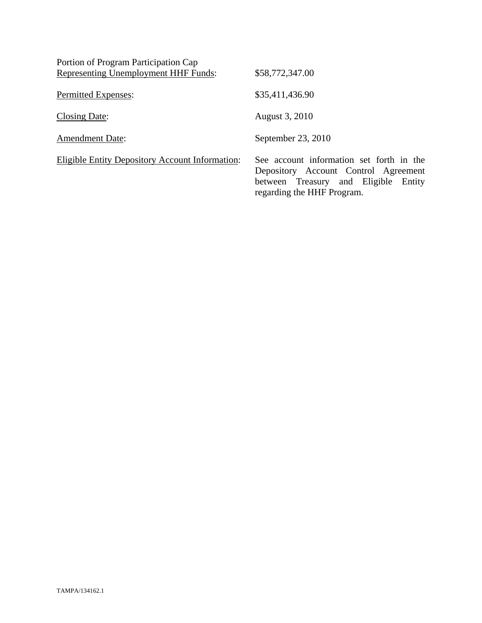| Portion of Program Participation Cap            |                                                                                                                                                           |
|-------------------------------------------------|-----------------------------------------------------------------------------------------------------------------------------------------------------------|
| Representing Unemployment HHF Funds:            | \$58,772,347.00                                                                                                                                           |
| Permitted Expenses:                             | \$35,411,436.90                                                                                                                                           |
| Closing Date:                                   | August 3, 2010                                                                                                                                            |
| <b>Amendment Date:</b>                          | September 23, 2010                                                                                                                                        |
| Eligible Entity Depository Account Information: | See account information set forth in the<br>Depository Account Control Agreement<br>between Treasury and Eligible<br>Entity<br>regarding the HHF Program. |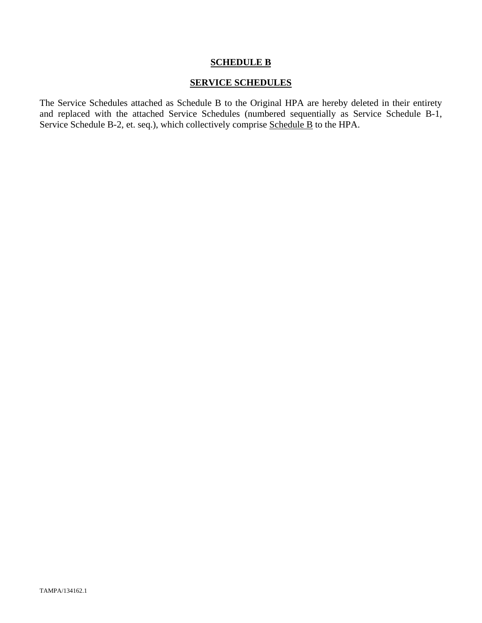#### **SCHEDULE B**

#### **SERVICE SCHEDULES**

The Service Schedules attached as Schedule B to the Original HPA are hereby deleted in their entirety and replaced with the attached Service Schedules (numbered sequentially as Service Schedule B-1, Service Schedule B-2, et. seq.), which collectively comprise Schedule B to the HPA.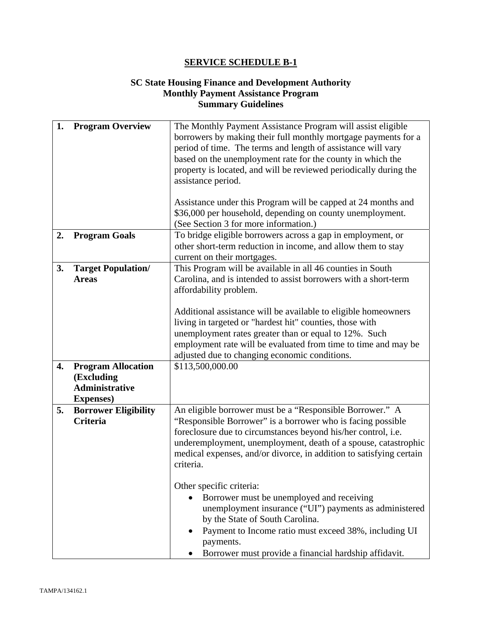#### **SC State Housing Finance and Development Authority Monthly Payment Assistance Program Summary Guidelines**

| 1. | <b>Program Overview</b>                                                               | The Monthly Payment Assistance Program will assist eligible<br>borrowers by making their full monthly mortgage payments for a<br>period of time. The terms and length of assistance will vary<br>based on the unemployment rate for the county in which the                                                                                                                |
|----|---------------------------------------------------------------------------------------|----------------------------------------------------------------------------------------------------------------------------------------------------------------------------------------------------------------------------------------------------------------------------------------------------------------------------------------------------------------------------|
|    |                                                                                       | property is located, and will be reviewed periodically during the<br>assistance period.<br>Assistance under this Program will be capped at 24 months and                                                                                                                                                                                                                   |
|    |                                                                                       | \$36,000 per household, depending on county unemployment.<br>(See Section 3 for more information.)                                                                                                                                                                                                                                                                         |
| 2. | <b>Program Goals</b>                                                                  | To bridge eligible borrowers across a gap in employment, or<br>other short-term reduction in income, and allow them to stay<br>current on their mortgages.                                                                                                                                                                                                                 |
| 3. | <b>Target Population/</b><br><b>Areas</b>                                             | This Program will be available in all 46 counties in South<br>Carolina, and is intended to assist borrowers with a short-term<br>affordability problem.<br>Additional assistance will be available to eligible homeowners<br>living in targeted or "hardest hit" counties, those with                                                                                      |
|    |                                                                                       | unemployment rates greater than or equal to 12%. Such<br>employment rate will be evaluated from time to time and may be<br>adjusted due to changing economic conditions.                                                                                                                                                                                                   |
| 4. | <b>Program Allocation</b><br>(Excluding<br><b>Administrative</b><br><b>Expenses</b> ) | \$113,500,000.00                                                                                                                                                                                                                                                                                                                                                           |
| 5. | <b>Borrower Eligibility</b><br><b>Criteria</b>                                        | An eligible borrower must be a "Responsible Borrower." A<br>"Responsible Borrower" is a borrower who is facing possible<br>foreclosure due to circumstances beyond his/her control, i.e.<br>underemployment, unemployment, death of a spouse, catastrophic<br>medical expenses, and/or divorce, in addition to satisfying certain<br>criteria.<br>Other specific criteria: |
|    |                                                                                       | Borrower must be unemployed and receiving<br>unemployment insurance ("UI") payments as administered<br>by the State of South Carolina.<br>Payment to Income ratio must exceed 38%, including UI<br>payments.<br>Borrower must provide a financial hardship affidavit.                                                                                                      |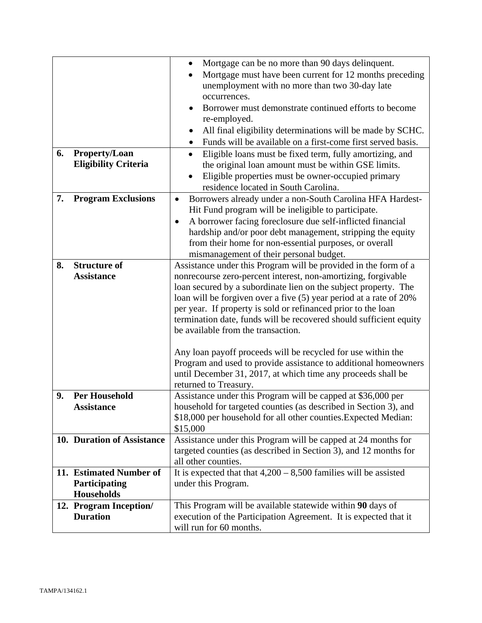|    |                                                     | Mortgage can be no more than 90 days delinquent.<br>$\bullet$                                                             |
|----|-----------------------------------------------------|---------------------------------------------------------------------------------------------------------------------------|
|    |                                                     | Mortgage must have been current for 12 months preceding                                                                   |
|    |                                                     | unemployment with no more than two 30-day late                                                                            |
|    |                                                     | occurrences.                                                                                                              |
|    |                                                     | Borrower must demonstrate continued efforts to become                                                                     |
|    |                                                     | re-employed.                                                                                                              |
|    |                                                     | All final eligibility determinations will be made by SCHC.<br>Funds will be available on a first-come first served basis. |
| 6. |                                                     |                                                                                                                           |
|    | <b>Property/Loan</b><br><b>Eligibility Criteria</b> | Eligible loans must be fixed term, fully amortizing, and<br>$\bullet$                                                     |
|    |                                                     | the original loan amount must be within GSE limits.<br>Eligible properties must be owner-occupied primary                 |
|    |                                                     | residence located in South Carolina.                                                                                      |
| 7. | <b>Program Exclusions</b>                           | Borrowers already under a non-South Carolina HFA Hardest-<br>$\bullet$                                                    |
|    |                                                     | Hit Fund program will be ineligible to participate.                                                                       |
|    |                                                     | A borrower facing foreclosure due self-inflicted financial                                                                |
|    |                                                     | hardship and/or poor debt management, stripping the equity                                                                |
|    |                                                     | from their home for non-essential purposes, or overall                                                                    |
|    |                                                     | mismanagement of their personal budget.                                                                                   |
| 8. | <b>Structure of</b>                                 | Assistance under this Program will be provided in the form of a                                                           |
|    | <b>Assistance</b>                                   | nonrecourse zero-percent interest, non-amortizing, forgivable                                                             |
|    |                                                     | loan secured by a subordinate lien on the subject property. The                                                           |
|    |                                                     | loan will be forgiven over a five (5) year period at a rate of 20%                                                        |
|    |                                                     | per year. If property is sold or refinanced prior to the loan                                                             |
|    |                                                     | termination date, funds will be recovered should sufficient equity                                                        |
|    |                                                     | be available from the transaction.                                                                                        |
|    |                                                     | Any loan payoff proceeds will be recycled for use within the                                                              |
|    |                                                     | Program and used to provide assistance to additional homeowners                                                           |
|    |                                                     | until December 31, 2017, at which time any proceeds shall be                                                              |
|    |                                                     | returned to Treasury.                                                                                                     |
| 9. | <b>Per Household</b>                                | Assistance under this Program will be capped at \$36,000 per                                                              |
|    | Assistance                                          | household for targeted counties (as described in Section 3), and                                                          |
|    |                                                     | \$18,000 per household for all other counties. Expected Median:                                                           |
|    |                                                     | \$15,000                                                                                                                  |
|    | 10. Duration of Assistance                          | Assistance under this Program will be capped at 24 months for                                                             |
|    |                                                     | targeted counties (as described in Section 3), and 12 months for                                                          |
|    | 11. Estimated Number of                             | all other counties.                                                                                                       |
|    | Participating                                       | It is expected that that $4,200 - 8,500$ families will be assisted<br>under this Program.                                 |
|    | <b>Households</b>                                   |                                                                                                                           |
|    | 12. Program Inception/                              | This Program will be available statewide within 90 days of                                                                |
|    | <b>Duration</b>                                     | execution of the Participation Agreement. It is expected that it                                                          |
|    |                                                     | will run for 60 months.                                                                                                   |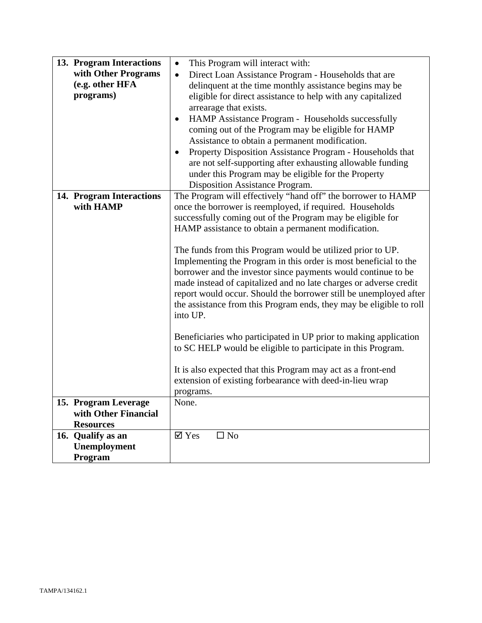| 13. Program Interactions | This Program will interact with:<br>$\bullet$                       |
|--------------------------|---------------------------------------------------------------------|
| with Other Programs      | Direct Loan Assistance Program - Households that are<br>$\bullet$   |
| (e.g. other HFA          | delinquent at the time monthly assistance begins may be             |
| programs)                | eligible for direct assistance to help with any capitalized         |
|                          | arrearage that exists.                                              |
|                          | HAMP Assistance Program - Households successfully<br>$\bullet$      |
|                          | coming out of the Program may be eligible for HAMP                  |
|                          | Assistance to obtain a permanent modification.                      |
|                          |                                                                     |
|                          | Property Disposition Assistance Program - Households that           |
|                          | are not self-supporting after exhausting allowable funding          |
|                          | under this Program may be eligible for the Property                 |
|                          | Disposition Assistance Program.                                     |
| 14. Program Interactions | The Program will effectively "hand off" the borrower to HAMP        |
| with HAMP                | once the borrower is reemployed, if required. Households            |
|                          | successfully coming out of the Program may be eligible for          |
|                          | HAMP assistance to obtain a permanent modification.                 |
|                          |                                                                     |
|                          | The funds from this Program would be utilized prior to UP.          |
|                          | Implementing the Program in this order is most beneficial to the    |
|                          | borrower and the investor since payments would continue to be       |
|                          | made instead of capitalized and no late charges or adverse credit   |
|                          | report would occur. Should the borrower still be unemployed after   |
|                          | the assistance from this Program ends, they may be eligible to roll |
|                          | into UP.                                                            |
|                          |                                                                     |
|                          | Beneficiaries who participated in UP prior to making application    |
|                          | to SC HELP would be eligible to participate in this Program.        |
|                          |                                                                     |
|                          | It is also expected that this Program may act as a front-end        |
|                          | extension of existing forbearance with deed-in-lieu wrap            |
|                          | programs.                                                           |
| 15. Program Leverage     | None.                                                               |
| with Other Financial     |                                                                     |
| <b>Resources</b>         |                                                                     |
| 16. Qualify as an        | $\boxtimes$ Yes<br>$\square$ No                                     |
| Unemployment             |                                                                     |
| Program                  |                                                                     |
|                          |                                                                     |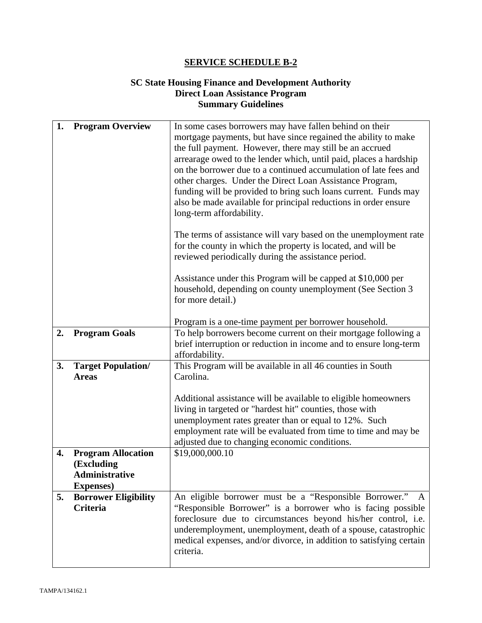#### **SC State Housing Finance and Development Authority Direct Loan Assistance Program Summary Guidelines**

| 1. | <b>Program Overview</b>                   | In some cases borrowers may have fallen behind on their                                                                    |
|----|-------------------------------------------|----------------------------------------------------------------------------------------------------------------------------|
|    |                                           | mortgage payments, but have since regained the ability to make                                                             |
|    |                                           | the full payment. However, there may still be an accrued                                                                   |
|    |                                           | arrearage owed to the lender which, until paid, places a hardship                                                          |
|    |                                           | on the borrower due to a continued accumulation of late fees and                                                           |
|    |                                           | other charges. Under the Direct Loan Assistance Program,                                                                   |
|    |                                           | funding will be provided to bring such loans current. Funds may                                                            |
|    |                                           | also be made available for principal reductions in order ensure                                                            |
|    |                                           | long-term affordability.                                                                                                   |
|    |                                           |                                                                                                                            |
|    |                                           | The terms of assistance will vary based on the unemployment rate                                                           |
|    |                                           | for the county in which the property is located, and will be                                                               |
|    |                                           | reviewed periodically during the assistance period.                                                                        |
|    |                                           |                                                                                                                            |
|    |                                           | Assistance under this Program will be capped at \$10,000 per                                                               |
|    |                                           | household, depending on county unemployment (See Section 3                                                                 |
|    |                                           | for more detail.)                                                                                                          |
|    |                                           | Program is a one-time payment per borrower household.                                                                      |
| 2. | <b>Program Goals</b>                      | To help borrowers become current on their mortgage following a                                                             |
|    |                                           | brief interruption or reduction in income and to ensure long-term                                                          |
|    |                                           |                                                                                                                            |
|    |                                           |                                                                                                                            |
|    |                                           | affordability.                                                                                                             |
| 3. | <b>Target Population/</b><br><b>Areas</b> | This Program will be available in all 46 counties in South<br>Carolina.                                                    |
|    |                                           |                                                                                                                            |
|    |                                           |                                                                                                                            |
|    |                                           | Additional assistance will be available to eligible homeowners<br>living in targeted or "hardest hit" counties, those with |
|    |                                           | unemployment rates greater than or equal to 12%. Such                                                                      |
|    |                                           | employment rate will be evaluated from time to time and may be                                                             |
|    |                                           | adjusted due to changing economic conditions.                                                                              |
| 4. | <b>Program Allocation</b>                 | \$19,000,000.10                                                                                                            |
|    | (Excluding                                |                                                                                                                            |
|    | <b>Administrative</b>                     |                                                                                                                            |
|    | <b>Expenses</b> )                         |                                                                                                                            |
| 5. | <b>Borrower Eligibility</b>               | An eligible borrower must be a "Responsible Borrower."<br>$\mathbf{A}$                                                     |
|    | <b>Criteria</b>                           | "Responsible Borrower" is a borrower who is facing possible                                                                |
|    |                                           | foreclosure due to circumstances beyond his/her control, i.e.                                                              |
|    |                                           | underemployment, unemployment, death of a spouse, catastrophic                                                             |
|    |                                           | medical expenses, and/or divorce, in addition to satisfying certain                                                        |
|    |                                           | criteria.                                                                                                                  |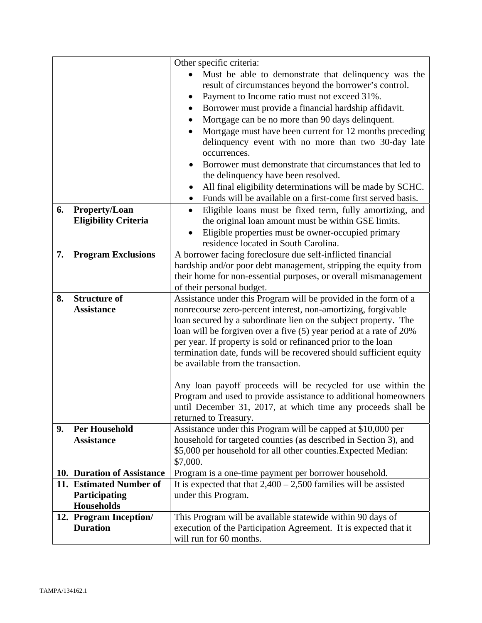|    |                             | Other specific criteria:                                                                                                        |
|----|-----------------------------|---------------------------------------------------------------------------------------------------------------------------------|
|    |                             | Must be able to demonstrate that delinquency was the                                                                            |
|    |                             | result of circumstances beyond the borrower's control.                                                                          |
|    |                             | Payment to Income ratio must not exceed 31%.<br>٠                                                                               |
|    |                             | Borrower must provide a financial hardship affidavit.<br>٠                                                                      |
|    |                             | Mortgage can be no more than 90 days delinquent.                                                                                |
|    |                             | Mortgage must have been current for 12 months preceding                                                                         |
|    |                             | delinquency event with no more than two 30-day late                                                                             |
|    |                             | occurrences.                                                                                                                    |
|    |                             | Borrower must demonstrate that circumstances that led to                                                                        |
|    |                             | the delinquency have been resolved.                                                                                             |
|    |                             | All final eligibility determinations will be made by SCHC.<br>$\bullet$                                                         |
|    |                             | Funds will be available on a first-come first served basis.                                                                     |
| 6. | <b>Property/Loan</b>        | Eligible loans must be fixed term, fully amortizing, and<br>$\bullet$                                                           |
|    | <b>Eligibility Criteria</b> | the original loan amount must be within GSE limits.                                                                             |
|    |                             | Eligible properties must be owner-occupied primary                                                                              |
|    |                             | residence located in South Carolina.                                                                                            |
| 7. | <b>Program Exclusions</b>   | A borrower facing foreclosure due self-inflicted financial                                                                      |
|    |                             | hardship and/or poor debt management, stripping the equity from                                                                 |
|    |                             | their home for non-essential purposes, or overall mismanagement                                                                 |
|    |                             | of their personal budget.                                                                                                       |
| 8. | <b>Structure of</b>         | Assistance under this Program will be provided in the form of a                                                                 |
|    | <b>Assistance</b>           | nonrecourse zero-percent interest, non-amortizing, forgivable                                                                   |
|    |                             | loan secured by a subordinate lien on the subject property. The                                                                 |
|    |                             | loan will be forgiven over a five (5) year period at a rate of 20%                                                              |
|    |                             | per year. If property is sold or refinanced prior to the loan                                                                   |
|    |                             | termination date, funds will be recovered should sufficient equity                                                              |
|    |                             | be available from the transaction.                                                                                              |
|    |                             |                                                                                                                                 |
|    |                             | Any loan payoff proceeds will be recycled for use within the<br>Program and used to provide assistance to additional homeowners |
|    |                             | until December 31, 2017, at which time any proceeds shall be                                                                    |
|    |                             | returned to Treasury.                                                                                                           |
| 9. | <b>Per Household</b>        | Assistance under this Program will be capped at \$10,000 per                                                                    |
|    | <b>Assistance</b>           | household for targeted counties (as described in Section 3), and                                                                |
|    |                             | \$5,000 per household for all other counties. Expected Median:                                                                  |
|    |                             | \$7,000.                                                                                                                        |
|    | 10. Duration of Assistance  | Program is a one-time payment per borrower household.                                                                           |
|    | 11. Estimated Number of     | It is expected that that $2,400 - 2,500$ families will be assisted                                                              |
|    | Participating               | under this Program.                                                                                                             |
|    | <b>Households</b>           |                                                                                                                                 |
|    | 12. Program Inception/      | This Program will be available statewide within 90 days of                                                                      |
|    | <b>Duration</b>             | execution of the Participation Agreement. It is expected that it                                                                |
|    |                             | will run for 60 months.                                                                                                         |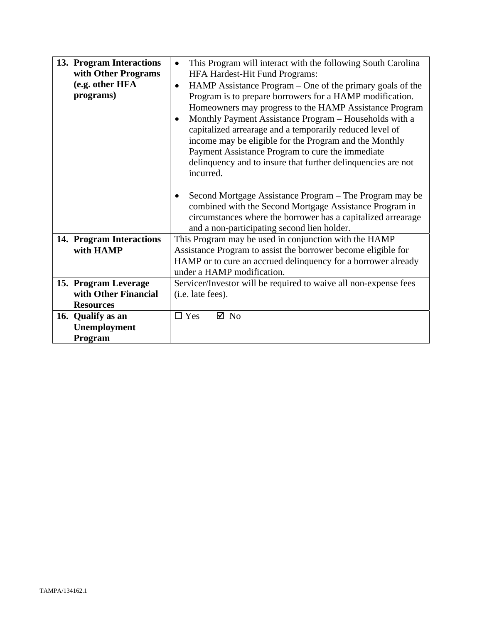| 13. Program Interactions<br>with Other Programs<br>(e.g. other HFA<br>programs) | This Program will interact with the following South Carolina<br>$\bullet$<br>HFA Hardest-Hit Fund Programs:<br>HAMP Assistance Program – One of the primary goals of the<br>$\bullet$<br>Program is to prepare borrowers for a HAMP modification.<br>Homeowners may progress to the HAMP Assistance Program<br>Monthly Payment Assistance Program - Households with a<br>capitalized arrearage and a temporarily reduced level of<br>income may be eligible for the Program and the Monthly<br>Payment Assistance Program to cure the immediate<br>delinquency and to insure that further delinquencies are not<br>incurred.<br>Second Mortgage Assistance Program – The Program may be<br>combined with the Second Mortgage Assistance Program in<br>circumstances where the borrower has a capitalized arrearage<br>and a non-participating second lien holder. |
|---------------------------------------------------------------------------------|-------------------------------------------------------------------------------------------------------------------------------------------------------------------------------------------------------------------------------------------------------------------------------------------------------------------------------------------------------------------------------------------------------------------------------------------------------------------------------------------------------------------------------------------------------------------------------------------------------------------------------------------------------------------------------------------------------------------------------------------------------------------------------------------------------------------------------------------------------------------|
| 14. Program Interactions<br>with HAMP                                           | This Program may be used in conjunction with the HAMP<br>Assistance Program to assist the borrower become eligible for                                                                                                                                                                                                                                                                                                                                                                                                                                                                                                                                                                                                                                                                                                                                            |
|                                                                                 | HAMP or to cure an accrued delinquency for a borrower already<br>under a HAMP modification.                                                                                                                                                                                                                                                                                                                                                                                                                                                                                                                                                                                                                                                                                                                                                                       |
| 15. Program Leverage                                                            | Servicer/Investor will be required to waive all non-expense fees                                                                                                                                                                                                                                                                                                                                                                                                                                                                                                                                                                                                                                                                                                                                                                                                  |
| with Other Financial                                                            | (i.e. late fees).                                                                                                                                                                                                                                                                                                                                                                                                                                                                                                                                                                                                                                                                                                                                                                                                                                                 |
| <b>Resources</b>                                                                |                                                                                                                                                                                                                                                                                                                                                                                                                                                                                                                                                                                                                                                                                                                                                                                                                                                                   |
| 16. Qualify as an                                                               | $\square$ Yes<br>$\boxtimes$ No                                                                                                                                                                                                                                                                                                                                                                                                                                                                                                                                                                                                                                                                                                                                                                                                                                   |
| Unemployment                                                                    |                                                                                                                                                                                                                                                                                                                                                                                                                                                                                                                                                                                                                                                                                                                                                                                                                                                                   |
| Program                                                                         |                                                                                                                                                                                                                                                                                                                                                                                                                                                                                                                                                                                                                                                                                                                                                                                                                                                                   |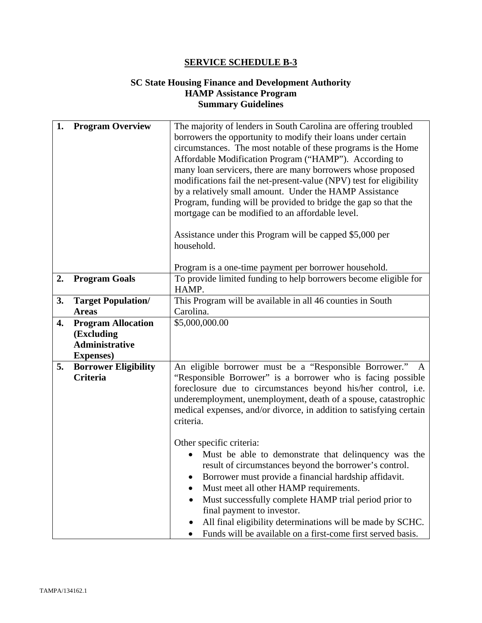## **SC State Housing Finance and Development Authority HAMP Assistance Program Summary Guidelines**

| 1. | <b>Program Overview</b>                                                               | The majority of lenders in South Carolina are offering troubled<br>borrowers the opportunity to modify their loans under certain<br>circumstances. The most notable of these programs is the Home<br>Affordable Modification Program ("HAMP"). According to<br>many loan servicers, there are many borrowers whose proposed<br>modifications fail the net-present-value (NPV) test for eligibility<br>by a relatively small amount. Under the HAMP Assistance<br>Program, funding will be provided to bridge the gap so that the<br>mortgage can be modified to an affordable level.<br>Assistance under this Program will be capped \$5,000 per<br>household.<br>Program is a one-time payment per borrower household. |
|----|---------------------------------------------------------------------------------------|-------------------------------------------------------------------------------------------------------------------------------------------------------------------------------------------------------------------------------------------------------------------------------------------------------------------------------------------------------------------------------------------------------------------------------------------------------------------------------------------------------------------------------------------------------------------------------------------------------------------------------------------------------------------------------------------------------------------------|
| 2. | <b>Program Goals</b>                                                                  | To provide limited funding to help borrowers become eligible for<br>HAMP.                                                                                                                                                                                                                                                                                                                                                                                                                                                                                                                                                                                                                                               |
| 3. | <b>Target Population/</b><br><b>Areas</b>                                             | This Program will be available in all 46 counties in South<br>Carolina.                                                                                                                                                                                                                                                                                                                                                                                                                                                                                                                                                                                                                                                 |
| 4. | <b>Program Allocation</b><br>(Excluding<br><b>Administrative</b><br><b>Expenses</b> ) | \$5,000,000.00                                                                                                                                                                                                                                                                                                                                                                                                                                                                                                                                                                                                                                                                                                          |
| 5. | <b>Borrower Eligibility</b><br><b>Criteria</b>                                        | An eligible borrower must be a "Responsible Borrower."<br>"Responsible Borrower" is a borrower who is facing possible<br>foreclosure due to circumstances beyond his/her control, i.e.<br>underemployment, unemployment, death of a spouse, catastrophic<br>medical expenses, and/or divorce, in addition to satisfying certain<br>criteria.<br>Other specific criteria:                                                                                                                                                                                                                                                                                                                                                |
|    |                                                                                       | Must be able to demonstrate that delinquency was the<br>result of circumstances beyond the borrower's control.<br>Borrower must provide a financial hardship affidavit.<br>Must meet all other HAMP requirements.<br>Must successfully complete HAMP trial period prior to<br>final payment to investor.<br>All final eligibility determinations will be made by SCHC.<br>Funds will be available on a first-come first served basis.                                                                                                                                                                                                                                                                                   |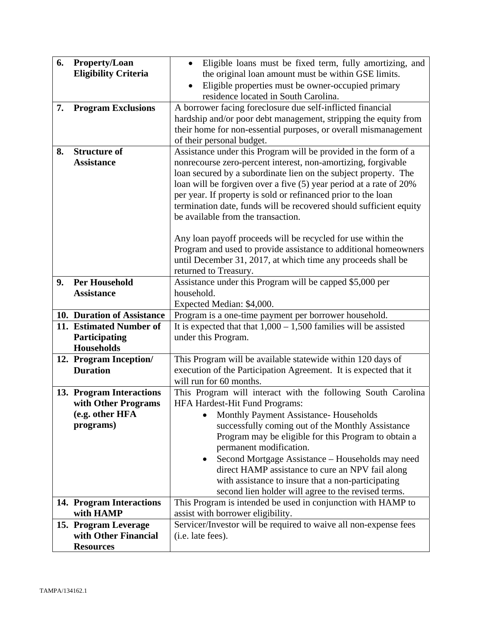| 6.<br>7. | <b>Property/Loan</b><br><b>Eligibility Criteria</b><br><b>Program Exclusions</b> | Eligible loans must be fixed term, fully amortizing, and<br>$\bullet$<br>the original loan amount must be within GSE limits.<br>Eligible properties must be owner-occupied primary<br>residence located in South Carolina.<br>A borrower facing foreclosure due self-inflicted financial<br>hardship and/or poor debt management, stripping the equity from<br>their home for non-essential purposes, or overall mismanagement<br>of their personal budget.                                                                                                                                                                                                                        |
|----------|----------------------------------------------------------------------------------|------------------------------------------------------------------------------------------------------------------------------------------------------------------------------------------------------------------------------------------------------------------------------------------------------------------------------------------------------------------------------------------------------------------------------------------------------------------------------------------------------------------------------------------------------------------------------------------------------------------------------------------------------------------------------------|
| 8.       | <b>Structure of</b><br><b>Assistance</b>                                         | Assistance under this Program will be provided in the form of a<br>nonrecourse zero-percent interest, non-amortizing, forgivable<br>loan secured by a subordinate lien on the subject property. The<br>loan will be forgiven over a five (5) year period at a rate of 20%<br>per year. If property is sold or refinanced prior to the loan<br>termination date, funds will be recovered should sufficient equity<br>be available from the transaction.<br>Any loan payoff proceeds will be recycled for use within the<br>Program and used to provide assistance to additional homeowners<br>until December 31, 2017, at which time any proceeds shall be<br>returned to Treasury. |
| 9.       | <b>Per Household</b>                                                             | Assistance under this Program will be capped \$5,000 per                                                                                                                                                                                                                                                                                                                                                                                                                                                                                                                                                                                                                           |
|          | <b>Assistance</b>                                                                | household.                                                                                                                                                                                                                                                                                                                                                                                                                                                                                                                                                                                                                                                                         |
|          |                                                                                  | Expected Median: \$4,000.                                                                                                                                                                                                                                                                                                                                                                                                                                                                                                                                                                                                                                                          |
|          | 10. Duration of Assistance                                                       | Program is a one-time payment per borrower household.                                                                                                                                                                                                                                                                                                                                                                                                                                                                                                                                                                                                                              |
|          | 11. Estimated Number of<br>Participating<br><b>Households</b>                    | It is expected that that $1,000 - 1,500$ families will be assisted<br>under this Program.                                                                                                                                                                                                                                                                                                                                                                                                                                                                                                                                                                                          |
|          | 12. Program Inception/<br><b>Duration</b>                                        | This Program will be available statewide within 120 days of<br>execution of the Participation Agreement. It is expected that it<br>will run for 60 months.                                                                                                                                                                                                                                                                                                                                                                                                                                                                                                                         |
|          | 13. Program Interactions                                                         | This Program will interact with the following South Carolina                                                                                                                                                                                                                                                                                                                                                                                                                                                                                                                                                                                                                       |
|          | with Other Programs                                                              | <b>HFA Hardest-Hit Fund Programs:</b>                                                                                                                                                                                                                                                                                                                                                                                                                                                                                                                                                                                                                                              |
|          | (e.g. other HFA                                                                  | Monthly Payment Assistance- Households                                                                                                                                                                                                                                                                                                                                                                                                                                                                                                                                                                                                                                             |
|          | programs)                                                                        | successfully coming out of the Monthly Assistance<br>Program may be eligible for this Program to obtain a                                                                                                                                                                                                                                                                                                                                                                                                                                                                                                                                                                          |
|          |                                                                                  | permanent modification.                                                                                                                                                                                                                                                                                                                                                                                                                                                                                                                                                                                                                                                            |
|          |                                                                                  | Second Mortgage Assistance – Households may need<br>٠                                                                                                                                                                                                                                                                                                                                                                                                                                                                                                                                                                                                                              |
|          |                                                                                  | direct HAMP assistance to cure an NPV fail along                                                                                                                                                                                                                                                                                                                                                                                                                                                                                                                                                                                                                                   |
|          |                                                                                  | with assistance to insure that a non-participating                                                                                                                                                                                                                                                                                                                                                                                                                                                                                                                                                                                                                                 |
|          |                                                                                  | second lien holder will agree to the revised terms.                                                                                                                                                                                                                                                                                                                                                                                                                                                                                                                                                                                                                                |
|          | 14. Program Interactions                                                         | This Program is intended be used in conjunction with HAMP to                                                                                                                                                                                                                                                                                                                                                                                                                                                                                                                                                                                                                       |
|          | with HAMP                                                                        | assist with borrower eligibility.                                                                                                                                                                                                                                                                                                                                                                                                                                                                                                                                                                                                                                                  |
|          | 15. Program Leverage                                                             | Servicer/Investor will be required to waive all non-expense fees                                                                                                                                                                                                                                                                                                                                                                                                                                                                                                                                                                                                                   |
|          | with Other Financial                                                             | (i.e. late fees).                                                                                                                                                                                                                                                                                                                                                                                                                                                                                                                                                                                                                                                                  |
|          | <b>Resources</b>                                                                 |                                                                                                                                                                                                                                                                                                                                                                                                                                                                                                                                                                                                                                                                                    |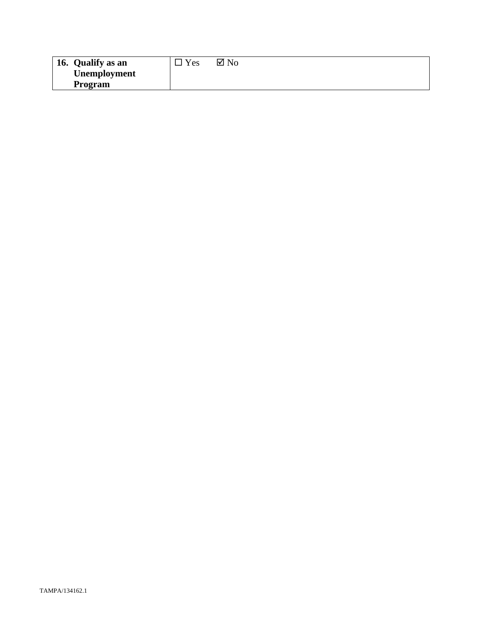| 16. Qualify as an   | $v_{es}$ | $\boxtimes$ No |
|---------------------|----------|----------------|
| <b>Unemployment</b> |          |                |
| Program             |          |                |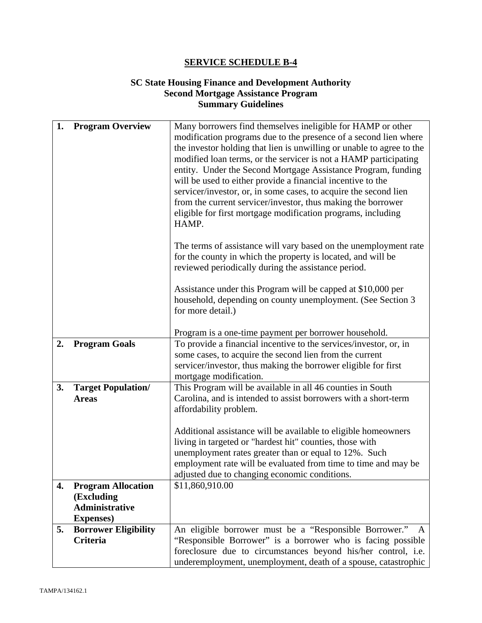#### **SC State Housing Finance and Development Authority Second Mortgage Assistance Program Summary Guidelines**

| 1. | <b>Program Overview</b>                 | Many borrowers find themselves ineligible for HAMP or other<br>modification programs due to the presence of a second lien where                                                                                                                            |
|----|-----------------------------------------|------------------------------------------------------------------------------------------------------------------------------------------------------------------------------------------------------------------------------------------------------------|
|    |                                         | the investor holding that lien is unwilling or unable to agree to the<br>modified loan terms, or the servicer is not a HAMP participating                                                                                                                  |
|    |                                         | entity. Under the Second Mortgage Assistance Program, funding                                                                                                                                                                                              |
|    |                                         | will be used to either provide a financial incentive to the                                                                                                                                                                                                |
|    |                                         | servicer/investor, or, in some cases, to acquire the second lien<br>from the current servicer/investor, thus making the borrower                                                                                                                           |
|    |                                         | eligible for first mortgage modification programs, including                                                                                                                                                                                               |
|    |                                         | HAMP.                                                                                                                                                                                                                                                      |
|    |                                         | The terms of assistance will vary based on the unemployment rate                                                                                                                                                                                           |
|    |                                         | for the county in which the property is located, and will be                                                                                                                                                                                               |
|    |                                         | reviewed periodically during the assistance period.                                                                                                                                                                                                        |
|    |                                         | Assistance under this Program will be capped at \$10,000 per                                                                                                                                                                                               |
|    |                                         | household, depending on county unemployment. (See Section 3                                                                                                                                                                                                |
|    |                                         | for more detail.)                                                                                                                                                                                                                                          |
|    |                                         | Program is a one-time payment per borrower household.                                                                                                                                                                                                      |
| 2. | <b>Program Goals</b>                    | To provide a financial incentive to the services/investor, or, in                                                                                                                                                                                          |
|    |                                         | some cases, to acquire the second lien from the current                                                                                                                                                                                                    |
|    |                                         | servicer/investor, thus making the borrower eligible for first                                                                                                                                                                                             |
|    |                                         | mortgage modification.                                                                                                                                                                                                                                     |
| 3. | <b>Target Population/</b>               | This Program will be available in all 46 counties in South                                                                                                                                                                                                 |
|    | <b>Areas</b>                            | Carolina, and is intended to assist borrowers with a short-term<br>affordability problem.                                                                                                                                                                  |
|    |                                         |                                                                                                                                                                                                                                                            |
|    |                                         | Additional assistance will be available to eligible homeowners                                                                                                                                                                                             |
|    |                                         | living in targeted or "hardest hit" counties, those with                                                                                                                                                                                                   |
|    |                                         | unemployment rates greater than or equal to 12%. Such                                                                                                                                                                                                      |
|    |                                         | employment rate will be evaluated from time to time and may be<br>adjusted due to changing economic conditions.                                                                                                                                            |
| 4. | <b>Program Allocation</b>               | \$11,860,910.00                                                                                                                                                                                                                                            |
|    | (Excluding                              |                                                                                                                                                                                                                                                            |
|    | Administrative                          |                                                                                                                                                                                                                                                            |
|    | <b>Expenses</b> )                       |                                                                                                                                                                                                                                                            |
|    |                                         |                                                                                                                                                                                                                                                            |
|    |                                         |                                                                                                                                                                                                                                                            |
|    |                                         |                                                                                                                                                                                                                                                            |
| 5. | <b>Borrower Eligibility</b><br>Criteria | An eligible borrower must be a "Responsible Borrower." A<br>"Responsible Borrower" is a borrower who is facing possible<br>foreclosure due to circumstances beyond his/her control, i.e.<br>underemployment, unemployment, death of a spouse, catastrophic |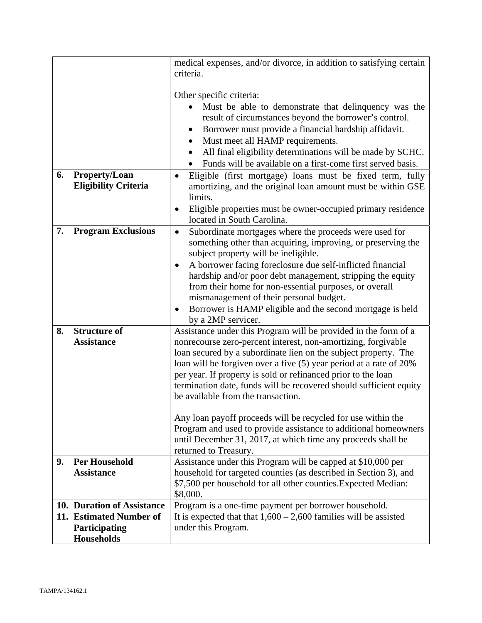|    |                                                       | medical expenses, and/or divorce, in addition to satisfying certain<br>criteria.                                                    |  |
|----|-------------------------------------------------------|-------------------------------------------------------------------------------------------------------------------------------------|--|
|    |                                                       | Other specific criteria:                                                                                                            |  |
|    |                                                       | Must be able to demonstrate that delinquency was the                                                                                |  |
|    |                                                       | result of circumstances beyond the borrower's control.                                                                              |  |
|    |                                                       | Borrower must provide a financial hardship affidavit.<br>$\bullet$                                                                  |  |
|    |                                                       | Must meet all HAMP requirements.<br>٠                                                                                               |  |
|    |                                                       | All final eligibility determinations will be made by SCHC.<br>$\bullet$                                                             |  |
|    |                                                       | Funds will be available on a first-come first served basis.                                                                         |  |
| 6. | <b>Property/Loan</b>                                  | Eligible (first mortgage) loans must be fixed term, fully<br>$\bullet$                                                              |  |
|    | <b>Eligibility Criteria</b>                           | amortizing, and the original loan amount must be within GSE                                                                         |  |
|    |                                                       | limits.                                                                                                                             |  |
|    |                                                       | Eligible properties must be owner-occupied primary residence<br>$\bullet$                                                           |  |
|    |                                                       | located in South Carolina.                                                                                                          |  |
| 7. | <b>Program Exclusions</b>                             | Subordinate mortgages where the proceeds were used for<br>$\bullet$<br>something other than acquiring, improving, or preserving the |  |
|    |                                                       | subject property will be ineligible.                                                                                                |  |
|    |                                                       | A borrower facing foreclosure due self-inflicted financial<br>$\bullet$                                                             |  |
|    |                                                       | hardship and/or poor debt management, stripping the equity                                                                          |  |
|    |                                                       | from their home for non-essential purposes, or overall                                                                              |  |
|    |                                                       | mismanagement of their personal budget.                                                                                             |  |
|    |                                                       | Borrower is HAMP eligible and the second mortgage is held<br>$\bullet$                                                              |  |
|    |                                                       | by a 2MP servicer.                                                                                                                  |  |
| 8. | <b>Structure of</b><br><b>Assistance</b>              | Assistance under this Program will be provided in the form of a                                                                     |  |
|    |                                                       | nonrecourse zero-percent interest, non-amortizing, forgivable<br>loan secured by a subordinate lien on the subject property. The    |  |
|    |                                                       | loan will be forgiven over a five (5) year period at a rate of 20%                                                                  |  |
|    |                                                       | per year. If property is sold or refinanced prior to the loan                                                                       |  |
|    |                                                       | termination date, funds will be recovered should sufficient equity                                                                  |  |
|    |                                                       | be available from the transaction.                                                                                                  |  |
|    |                                                       |                                                                                                                                     |  |
|    |                                                       | Any loan payoff proceeds will be recycled for use within the                                                                        |  |
|    |                                                       | Program and used to provide assistance to additional homeowners<br>until December 31, 2017, at which time any proceeds shall be     |  |
|    |                                                       | returned to Treasury.                                                                                                               |  |
| 9. | <b>Per Household</b>                                  | Assistance under this Program will be capped at \$10,000 per                                                                        |  |
|    | <b>Assistance</b>                                     | household for targeted counties (as described in Section 3), and                                                                    |  |
|    |                                                       | \$7,500 per household for all other counties. Expected Median:                                                                      |  |
|    |                                                       | \$8,000.                                                                                                                            |  |
|    | 10. Duration of Assistance<br>11. Estimated Number of | Program is a one-time payment per borrower household.                                                                               |  |
|    | Participating                                         | It is expected that that $1,600 - 2,600$ families will be assisted<br>under this Program.                                           |  |
|    | <b>Households</b>                                     |                                                                                                                                     |  |
|    |                                                       |                                                                                                                                     |  |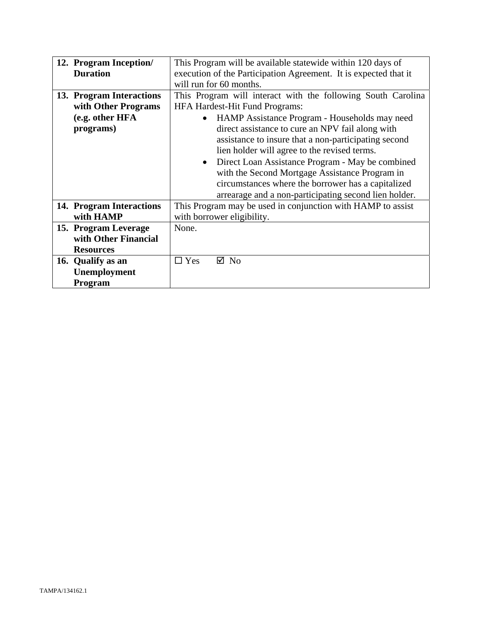| 12. Program Inception/   | This Program will be available statewide within 120 days of      |  |  |
|--------------------------|------------------------------------------------------------------|--|--|
| <b>Duration</b>          | execution of the Participation Agreement. It is expected that it |  |  |
|                          | will run for 60 months.                                          |  |  |
| 13. Program Interactions | This Program will interact with the following South Carolina     |  |  |
| with Other Programs      | <b>HFA Hardest-Hit Fund Programs:</b>                            |  |  |
| (e.g. other HFA          | HAMP Assistance Program - Households may need                    |  |  |
| programs)                | direct assistance to cure an NPV fail along with                 |  |  |
|                          | assistance to insure that a non-participating second             |  |  |
|                          | lien holder will agree to the revised terms.                     |  |  |
|                          | Direct Loan Assistance Program - May be combined<br>$\bullet$    |  |  |
|                          | with the Second Mortgage Assistance Program in                   |  |  |
|                          | circumstances where the borrower has a capitalized               |  |  |
|                          | arrearage and a non-participating second lien holder.            |  |  |
| 14. Program Interactions | This Program may be used in conjunction with HAMP to assist      |  |  |
| with HAMP                | with borrower eligibility.                                       |  |  |
| 15. Program Leverage     | None.                                                            |  |  |
| with Other Financial     |                                                                  |  |  |
| <b>Resources</b>         |                                                                  |  |  |
| 16. Qualify as an        | $\Box$ Yes<br>$\boxtimes$ No                                     |  |  |
| Unemployment             |                                                                  |  |  |
| Program                  |                                                                  |  |  |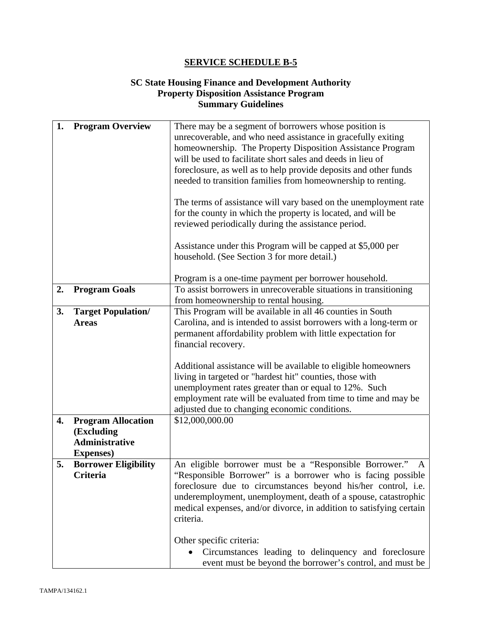#### **SC State Housing Finance and Development Authority Property Disposition Assistance Program Summary Guidelines**

|                             | There may be a segment of borrowers whose position is                                        |  |
|-----------------------------|----------------------------------------------------------------------------------------------|--|
|                             |                                                                                              |  |
|                             | unrecoverable, and who need assistance in gracefully exiting                                 |  |
|                             | homeownership. The Property Disposition Assistance Program                                   |  |
|                             | will be used to facilitate short sales and deeds in lieu of                                  |  |
|                             | foreclosure, as well as to help provide deposits and other funds                             |  |
|                             | needed to transition families from homeownership to renting.                                 |  |
|                             |                                                                                              |  |
|                             | The terms of assistance will vary based on the unemployment rate                             |  |
|                             | for the county in which the property is located, and will be                                 |  |
|                             | reviewed periodically during the assistance period.                                          |  |
|                             |                                                                                              |  |
|                             | Assistance under this Program will be capped at \$5,000 per                                  |  |
|                             | household. (See Section 3 for more detail.)                                                  |  |
|                             |                                                                                              |  |
|                             | Program is a one-time payment per borrower household.                                        |  |
|                             | To assist borrowers in unrecoverable situations in transitioning                             |  |
|                             | from homeownership to rental housing.                                                        |  |
|                             |                                                                                              |  |
|                             | This Program will be available in all 46 counties in South                                   |  |
|                             | Carolina, and is intended to assist borrowers with a long-term or                            |  |
|                             | permanent affordability problem with little expectation for                                  |  |
|                             | financial recovery.                                                                          |  |
|                             |                                                                                              |  |
|                             | Additional assistance will be available to eligible homeowners                               |  |
|                             | living in targeted or "hardest hit" counties, those with                                     |  |
|                             |                                                                                              |  |
|                             | unemployment rates greater than or equal to 12%. Such                                        |  |
|                             |                                                                                              |  |
|                             | employment rate will be evaluated from time to time and may be                               |  |
|                             | adjusted due to changing economic conditions.                                                |  |
| <b>Program Allocation</b>   | \$12,000,000.00                                                                              |  |
|                             |                                                                                              |  |
| (Excluding                  |                                                                                              |  |
| Administrative              |                                                                                              |  |
| <b>Expenses</b> )           |                                                                                              |  |
| <b>Borrower Eligibility</b> | An eligible borrower must be a "Responsible Borrower."<br>A                                  |  |
| Criteria                    | "Responsible Borrower" is a borrower who is facing possible                                  |  |
|                             | foreclosure due to circumstances beyond his/her control, i.e.                                |  |
|                             | underemployment, unemployment, death of a spouse, catastrophic                               |  |
|                             | medical expenses, and/or divorce, in addition to satisfying certain                          |  |
|                             | criteria.                                                                                    |  |
|                             |                                                                                              |  |
|                             |                                                                                              |  |
|                             | Other specific criteria:<br>Circumstances leading to delinquency and foreclosure             |  |
|                             | <b>Program Overview</b><br><b>Program Goals</b><br><b>Target Population/</b><br><b>Areas</b> |  |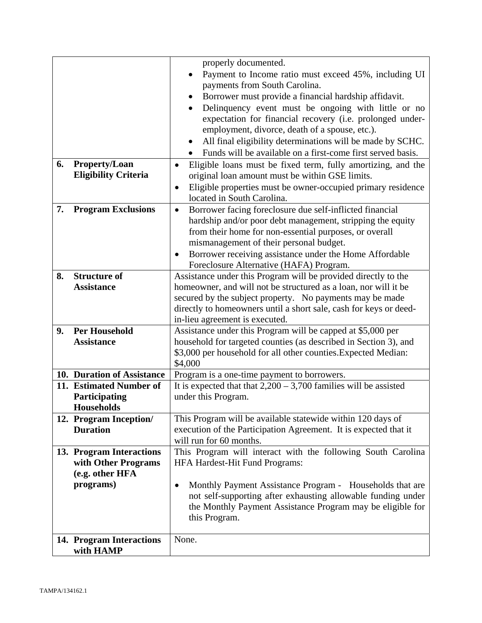|    |                             | properly documented.                                                                                |  |  |
|----|-----------------------------|-----------------------------------------------------------------------------------------------------|--|--|
|    |                             | Payment to Income ratio must exceed 45%, including UI                                               |  |  |
|    |                             | payments from South Carolina.                                                                       |  |  |
|    |                             | Borrower must provide a financial hardship affidavit.<br>$\bullet$                                  |  |  |
|    |                             | Delinquency event must be ongoing with little or no                                                 |  |  |
|    |                             | expectation for financial recovery (i.e. prolonged under-                                           |  |  |
|    |                             | employment, divorce, death of a spouse, etc.).                                                      |  |  |
|    |                             | All final eligibility determinations will be made by SCHC.                                          |  |  |
|    |                             | Funds will be available on a first-come first served basis.<br>$\bullet$                            |  |  |
| 6. | Property/Loan               | Eligible loans must be fixed term, fully amortizing, and the<br>$\bullet$                           |  |  |
|    | <b>Eligibility Criteria</b> | original loan amount must be within GSE limits.                                                     |  |  |
|    |                             | Eligible properties must be owner-occupied primary residence<br>$\bullet$                           |  |  |
|    |                             | located in South Carolina.                                                                          |  |  |
| 7. | <b>Program Exclusions</b>   | Borrower facing foreclosure due self-inflicted financial<br>$\bullet$                               |  |  |
|    |                             | hardship and/or poor debt management, stripping the equity                                          |  |  |
|    |                             | from their home for non-essential purposes, or overall                                              |  |  |
|    |                             | mismanagement of their personal budget.                                                             |  |  |
|    |                             | Borrower receiving assistance under the Home Affordable<br>$\bullet$                                |  |  |
|    |                             | Foreclosure Alternative (HAFA) Program.                                                             |  |  |
| 8. | <b>Structure of</b>         | Assistance under this Program will be provided directly to the                                      |  |  |
|    | <b>Assistance</b>           | homeowner, and will not be structured as a loan, nor will it be                                     |  |  |
|    |                             | secured by the subject property. No payments may be made                                            |  |  |
|    |                             | directly to homeowners until a short sale, cash for keys or deed-<br>in-lieu agreement is executed. |  |  |
| 9. | <b>Per Household</b>        | Assistance under this Program will be capped at \$5,000 per                                         |  |  |
|    | <b>Assistance</b>           | household for targeted counties (as described in Section 3), and                                    |  |  |
|    |                             | \$3,000 per household for all other counties. Expected Median:                                      |  |  |
|    |                             | \$4,000                                                                                             |  |  |
|    | 10. Duration of Assistance  | Program is a one-time payment to borrowers.                                                         |  |  |
|    | 11. Estimated Number of     | It is expected that that $2,200 - 3,700$ families will be assisted                                  |  |  |
|    | Participating               | under this Program.                                                                                 |  |  |
|    | <b>Households</b>           |                                                                                                     |  |  |
|    | 12. Program Inception/      | This Program will be available statewide within 120 days of                                         |  |  |
|    | <b>Duration</b>             | execution of the Participation Agreement. It is expected that it                                    |  |  |
|    |                             | will run for 60 months.                                                                             |  |  |
|    | 13. Program Interactions    | This Program will interact with the following South Carolina                                        |  |  |
|    | with Other Programs         | HFA Hardest-Hit Fund Programs:                                                                      |  |  |
|    | (e.g. other HFA             |                                                                                                     |  |  |
|    | programs)                   | Monthly Payment Assistance Program - Households that are<br>$\bullet$                               |  |  |
|    |                             | not self-supporting after exhausting allowable funding under                                        |  |  |
|    |                             | the Monthly Payment Assistance Program may be eligible for                                          |  |  |
|    |                             |                                                                                                     |  |  |
|    |                             | this Program.                                                                                       |  |  |
|    | 14. Program Interactions    | None.                                                                                               |  |  |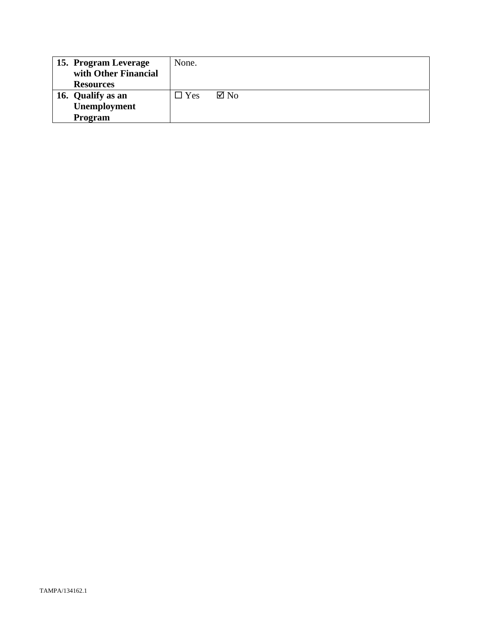| 15. Program Leverage | None.         |                |
|----------------------|---------------|----------------|
| with Other Financial |               |                |
| <b>Resources</b>     |               |                |
| 16. Qualify as an    | $\square$ Yes | $\boxtimes$ No |
| Unemployment         |               |                |
| <b>Program</b>       |               |                |